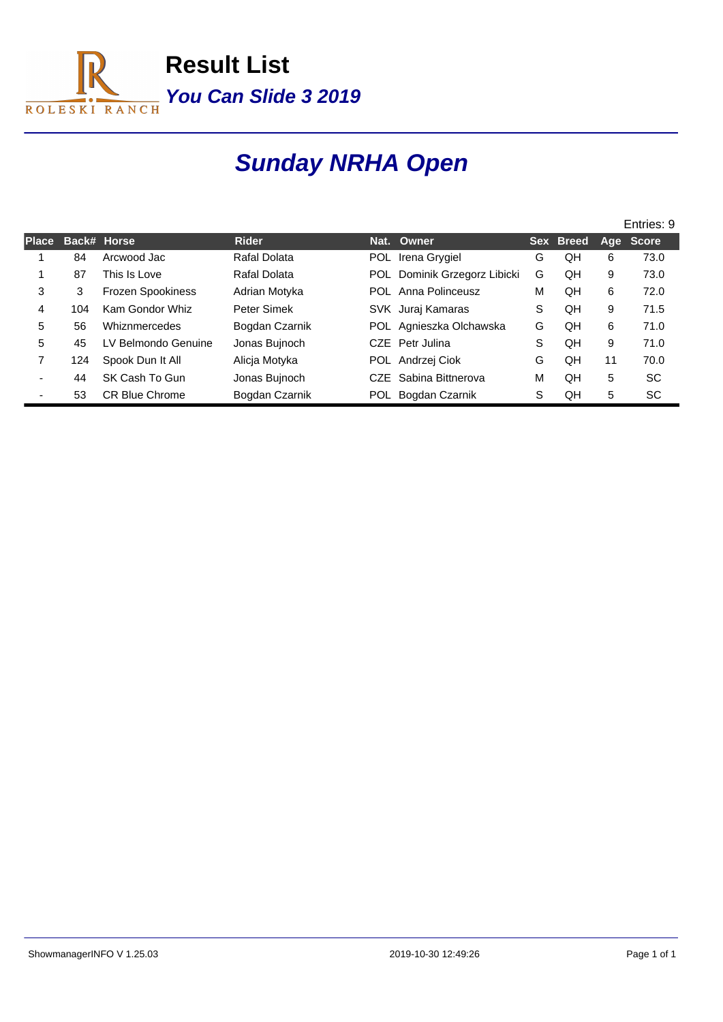

# **Sunday NRHA Open**

|              |     |                          |                |            |                          |   | Entries: 9 |     |              |  |
|--------------|-----|--------------------------|----------------|------------|--------------------------|---|------------|-----|--------------|--|
| <b>Place</b> |     | Back# Horse              | <b>Rider</b>   |            | Nat. Owner               |   | Sex Breed  | Age | <b>Score</b> |  |
|              | 84  | Arcwood Jac              | Rafal Dolata   | <b>POL</b> | Irena Grygiel            | G | QH         | 6   | 73.0         |  |
|              | 87  | This Is Love             | Rafal Dolata   | <b>POL</b> | Dominik Grzegorz Libicki | G | QΗ         | 9   | 73.0         |  |
| 3            | 3   | <b>Frozen Spookiness</b> | Adrian Motyka  |            | POL Anna Polinceusz      | M | QΗ         | 6   | 72.0         |  |
| 4            | 104 | Kam Gondor Whiz          | Peter Simek    |            | SVK Juraj Kamaras        | S | QH         | 9   | 71.5         |  |
| 5            | 56  | Whiznmercedes            | Bogdan Czarnik |            | POL Agnieszka Olchawska  | G | ΩH         | 6   | 71.0         |  |
| 5            | 45  | LV Belmondo Genuine      | Jonas Bujnoch  |            | CZE Petr Julina          | S | QΗ         | 9   | 71.0         |  |
| 7            | 124 | Spook Dun It All         | Alicja Motyka  |            | POL Andrzej Ciok         | G | QH         | 11  | 70.0         |  |
|              | 44  | SK Cash To Gun           | Jonas Bujnoch  |            | CZE Sabina Bittnerova    | M | QΗ         | 5   | <b>SC</b>    |  |
|              | 53  | <b>CR Blue Chrome</b>    | Bogdan Czarnik |            | POL Bogdan Czarnik       | S | QΗ         | 5   | <b>SC</b>    |  |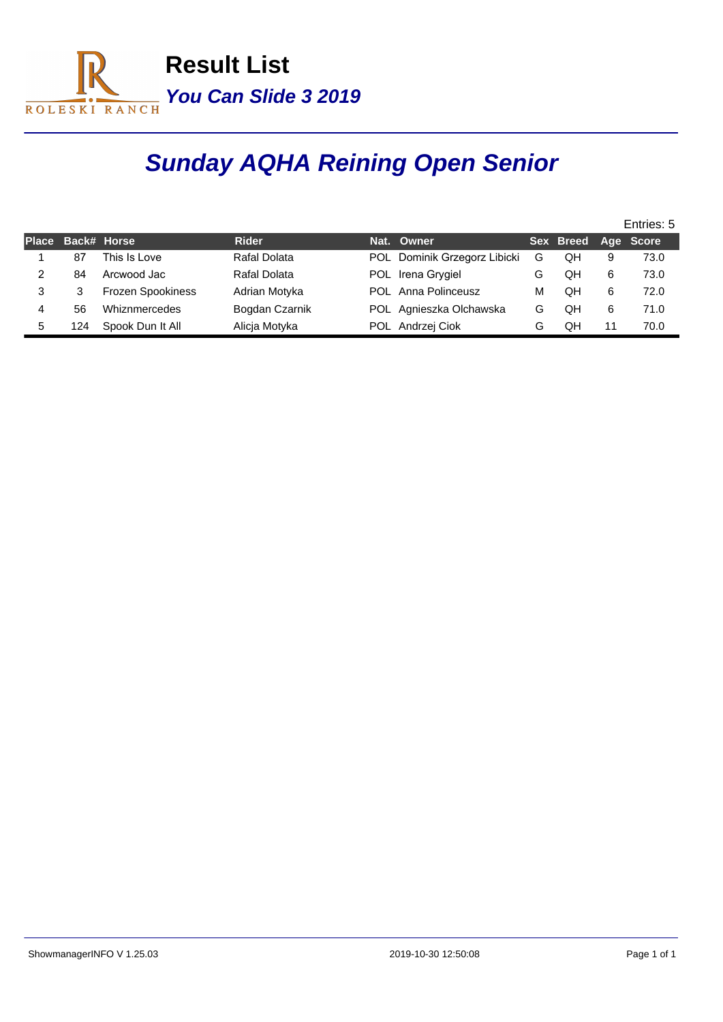

# **Sunday AQHA Reining Open Senior**

|    |                   |                          |                |                   |                              |   |                     | Entries: 5 |      |  |  |
|----|-------------------|--------------------------|----------------|-------------------|------------------------------|---|---------------------|------------|------|--|--|
|    | Place Back# Horse |                          | <b>Rider</b>   | Nat. Owner        |                              |   | Sex Breed Age Score |            |      |  |  |
|    | 87                | This Is Love             | Rafal Dolata   |                   | POL Dominik Grzegorz Libicki | G | QΗ                  | 9          | 73.0 |  |  |
|    | 84                | Arcwood Jac              | Rafal Dolata   | POL Irena Grygiel |                              | G | QΗ                  | 6          | 73.0 |  |  |
| 3  | 3                 | <b>Frozen Spookiness</b> | Adrian Motyka  |                   | POL Anna Polinceusz          | м | QH                  | 6          | 72.0 |  |  |
|    | 56                | Whiznmercedes            | Bogdan Czarnik |                   | POL Agnieszka Olchawska      | G | QH                  | 6          | 71.0 |  |  |
| 5. | 124               | Spook Dun It All         | Alicia Motyka  | POL Andrzej Ciok  |                              | G | QΗ                  | 11         | 70.0 |  |  |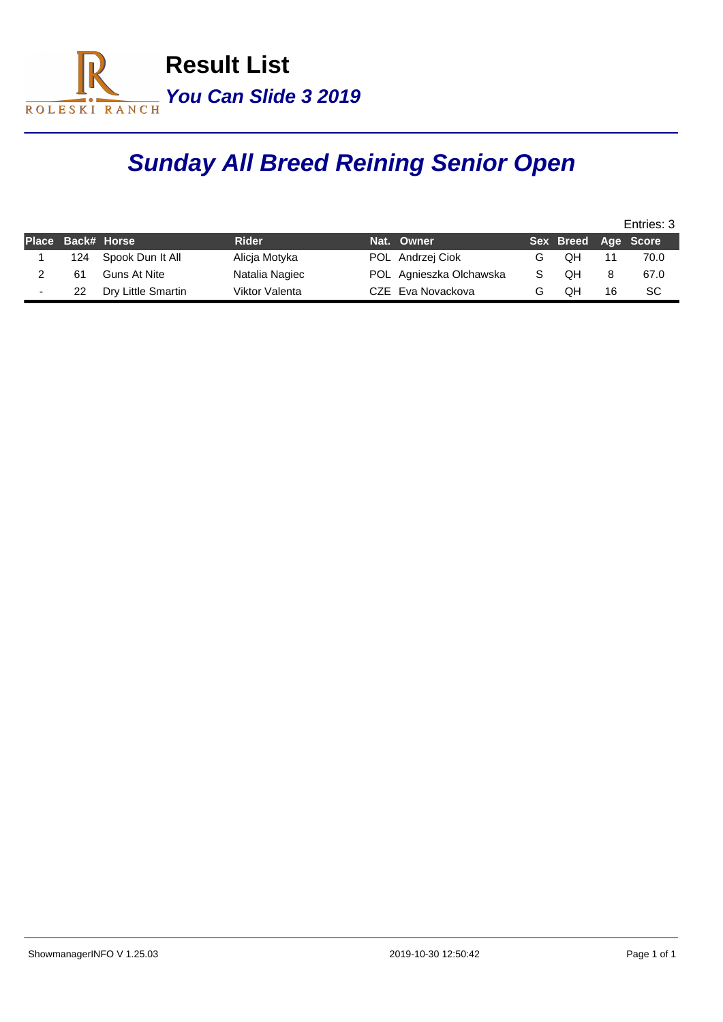

# **Sunday All Breed Reining Senior Open**

|                          |                   |                     |                |                         |                     | Entries: 3 |      |  |  |
|--------------------------|-------------------|---------------------|----------------|-------------------------|---------------------|------------|------|--|--|
|                          | Place Back# Horse |                     | <b>Rider</b>   | Nat. Owner              | Sex Breed Age Score |            |      |  |  |
|                          | 124               | Spook Dun It All    | Alicja Motyka  | POL Andrzej Ciok        | QΗ                  |            | 70.0 |  |  |
|                          | 61                | <b>Guns At Nite</b> | Natalia Nagiec | POL Agnieszka Olchawska | OН                  |            | 67.0 |  |  |
| $\overline{\phantom{a}}$ | 22                | Dry Little Smartin  | Viktor Valenta | CZE Eva Novackova       | QΗ                  | 16         | SC   |  |  |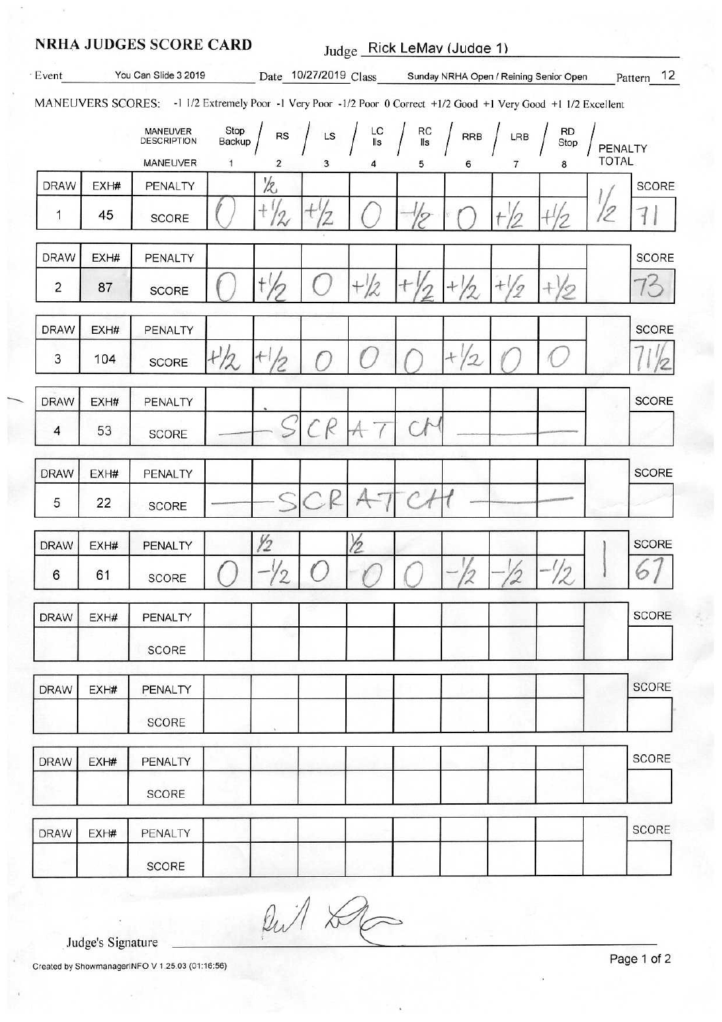#### **NRHA JUDGES SCORE CARD**

Judge Rick LeMav (Judge 1)

| Event          |      | You Can Slide 3 2019                                                                                              |                |                                      |    |                                    |           |                       |     | Date 10/27/2019 Class Sunday NRHA Open / Reining Senior Open |              | Pattern 12   |
|----------------|------|-------------------------------------------------------------------------------------------------------------------|----------------|--------------------------------------|----|------------------------------------|-----------|-----------------------|-----|--------------------------------------------------------------|--------------|--------------|
|                |      | MANEUVERS SCORES: - 1 1/2 Extremely Poor -1 Very Poor -1/2 Poor 0 Correct +1/2 Good +1 Very Good +1 1/2 Excellent |                |                                      |    |                                    |           |                       |     |                                                              |              |              |
|                |      | MANEUVER<br><b>DESCRIPTION</b>                                                                                    | Stop<br>Backup | <b>RS</b>                            | LS | $\frac{\mathsf{LC}}{\mathsf{lls}}$ | RC<br>IIs | <b>RRB</b>            | LRB | <b>RD</b><br>Stop                                            | PENALTY      |              |
|                |      | <b>MANEUVER</b>                                                                                                   | $\mathbf{1}$   | 2                                    | 3  |                                    | 5         | 6                     | 7   | 8                                                            | <b>TOTAL</b> |              |
| <b>DRAW</b>    | EXH# | PENALTY                                                                                                           |                | 12                                   |    |                                    |           |                       |     |                                                              |              | <b>SCORE</b> |
| 1              | 45   | SCORE                                                                                                             |                | $^{+}$<br>$\boldsymbol{\mathcal{Z}}$ |    |                                    |           |                       |     |                                                              | 12           |              |
| <b>DRAW</b>    | EXH# | PENALTY                                                                                                           |                |                                      |    |                                    |           |                       |     |                                                              |              | <b>SCORE</b> |
| $\overline{c}$ | 87   | SCORE                                                                                                             |                |                                      |    | $+2/2$                             |           |                       | 'g  |                                                              |              |              |
| <b>DRAW</b>    | EXH# | PENALTY                                                                                                           |                |                                      |    |                                    |           |                       |     |                                                              |              | <b>SCORE</b> |
| 3              | 104  | <b>SCORE</b>                                                                                                      | H/2            | $+1$                                 |    |                                    |           | $+$<br>$\overline{2}$ |     |                                                              |              |              |
| <b>DRAW</b>    | EXH# | PENALTY                                                                                                           |                |                                      |    |                                    |           |                       |     |                                                              |              | <b>SCORE</b> |
| 4              | 53   | <b>SCORE</b>                                                                                                      |                |                                      | R  |                                    |           |                       |     |                                                              |              |              |
| <b>DRAW</b>    | EXH# | PENALTY                                                                                                           |                |                                      |    |                                    |           |                       |     |                                                              |              | <b>SCORE</b> |
| 5              | 22   | <b>SCORE</b>                                                                                                      |                |                                      |    |                                    |           |                       |     |                                                              |              |              |
| <b>DRAW</b>    | EXH# | PENALTY                                                                                                           |                | У2                                   |    | り                                  |           |                       |     |                                                              |              | <b>SCORE</b> |
| 6              | 61   | <b>SCORE</b>                                                                                                      |                | 2                                    |    |                                    |           |                       |     |                                                              |              |              |
| <b>DRAW</b>    | EXH# | PENALTY                                                                                                           |                |                                      |    |                                    |           |                       |     |                                                              |              | SCORE        |
|                |      | <b>SCORE</b>                                                                                                      |                |                                      |    |                                    |           |                       |     |                                                              |              |              |
| <b>DRAW</b>    | EXH# | PENALTY                                                                                                           |                |                                      |    |                                    |           |                       |     |                                                              |              | <b>SCORE</b> |
|                |      | SCORE                                                                                                             |                |                                      |    |                                    |           |                       |     |                                                              |              |              |
| <b>DRAW</b>    | EXH# | PENALTY                                                                                                           |                |                                      |    |                                    |           |                       |     |                                                              |              | SCORE        |
|                |      | SCORE                                                                                                             |                |                                      |    |                                    |           |                       |     |                                                              |              |              |
| <b>DRAW</b>    | EXH# | PENALTY                                                                                                           |                |                                      |    |                                    |           |                       |     |                                                              |              | <b>SCORE</b> |
|                |      | SCORE                                                                                                             |                |                                      |    |                                    |           |                       |     |                                                              |              |              |

But De

Judge's Signature

Created by ShowmanagerINFO V 1.25.03 (01:16:56)